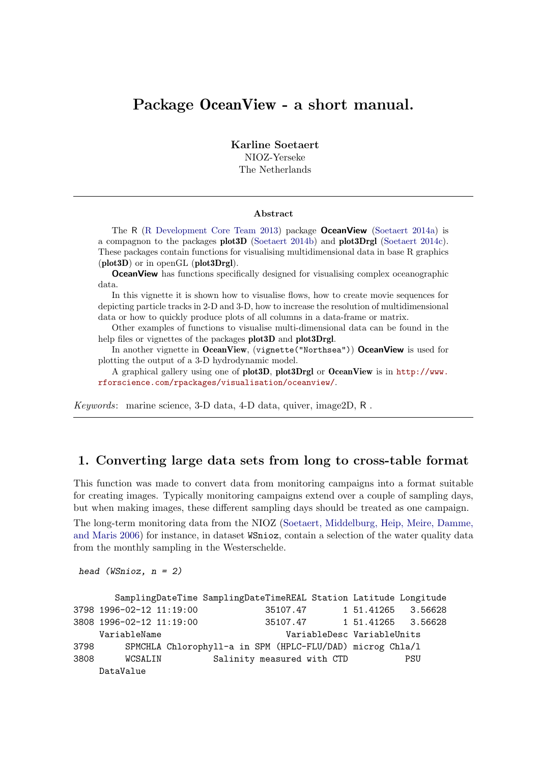# Package OceanView - a short manual.

Karline Soetaert NIOZ-Yerseke The Netherlands

#### Abstract

The R [\(R Development Core Team 2013\)](#page-14-0) package OceanView [\(Soetaert 2014a\)](#page-14-1) is a compagnon to the packages plot3D [\(Soetaert 2014b\)](#page-14-2) and plot3Drgl [\(Soetaert 2014c\)](#page-14-3). These packages contain functions for visualising multidimensional data in base R graphics (plot3D) or in openGL (plot3Drgl).

**OceanView** has functions specifically designed for visualising complex oceanographic data.

In this vignette it is shown how to visualise flows, how to create movie sequences for depicting particle tracks in 2-D and 3-D, how to increase the resolution of multidimensional data or how to quickly produce plots of all columns in a data-frame or matrix.

Other examples of functions to visualise multi-dimensional data can be found in the help files or vignettes of the packages plot 3D and plot 3Drgl.

In another vignette in OceanView, (vignette("Northsea")) OceanView is used for plotting the output of a 3-D hydrodynamic model.

A graphical gallery using one of plot3D, plot3Drgl or OceanView is in [http://www.](http://www.rforscience.com/rpackages/visualisation/oceanview/) [rforscience.com/rpackages/visualisation/oceanview/](http://www.rforscience.com/rpackages/visualisation/oceanview/).

*Keywords*: marine science, 3-D data, 4-D data, quiver, image2D, R .

## 1. Converting large data sets from long to cross-table format

This function was made to convert data from monitoring campaigns into a format suitable for creating images. Typically monitoring campaigns extend over a couple of sampling days, but when making images, these different sampling days should be treated as one campaign.

The long-term monitoring data from the NIOZ [\(Soetaert, Middelburg, Heip, Meire, Damme,](#page-14-4) [and Maris 2006\)](#page-14-4) for instance, in dataset WSnioz, contain a selection of the water quality data from the monthly sampling in the Westerschelde.

```
head (WSnioz, n = 2)
```

|      | SamplingDateTime SamplingDateTimeREAL Station Latitude Longitude |                            |          |  |                            |                    |
|------|------------------------------------------------------------------|----------------------------|----------|--|----------------------------|--------------------|
|      | 3798 1996-02-12 11:19:00                                         |                            | 35107.47 |  | 1 51.41265                 | 3.56628            |
|      | 3808 1996-02-12 11:19:00                                         |                            | 35107.47 |  |                            | 1 51.41265 3.56628 |
|      | VariableName                                                     |                            |          |  | VariableDesc VariableUnits |                    |
| 3798 | SPMCHLA Chlorophyll-a in SPM (HPLC-FLU/DAD) microg Chla/1        |                            |          |  |                            |                    |
| 3808 | WCSALIN                                                          | Salinity measured with CTD |          |  |                            | PSU                |
|      | DataValue                                                        |                            |          |  |                            |                    |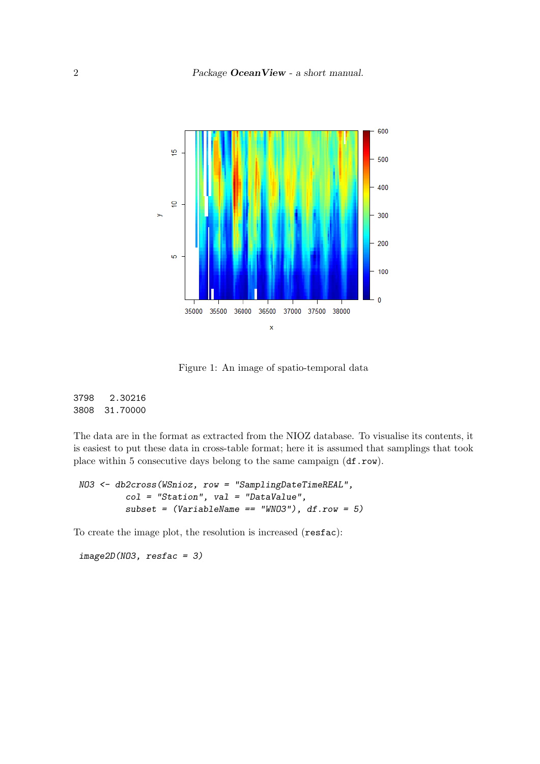

Figure 1: An image of spatio-temporal data

3798 2.30216 3808 31.70000

The data are in the format as extracted from the NIOZ database. To visualise its contents, it is easiest to put these data in cross-table format; here it is assumed that samplings that took place within 5 consecutive days belong to the same campaign (df.row).

```
NO3 <- db2cross(WSnioz, row = "SamplingDateTimeREAL",
         col = "Station", val = "DataValue",
         subset = (VariableName == "WNO3"), df.row = 5)
```
To create the image plot, the resolution is increased (resfac):

*image2D(NO3, resfac = 3)*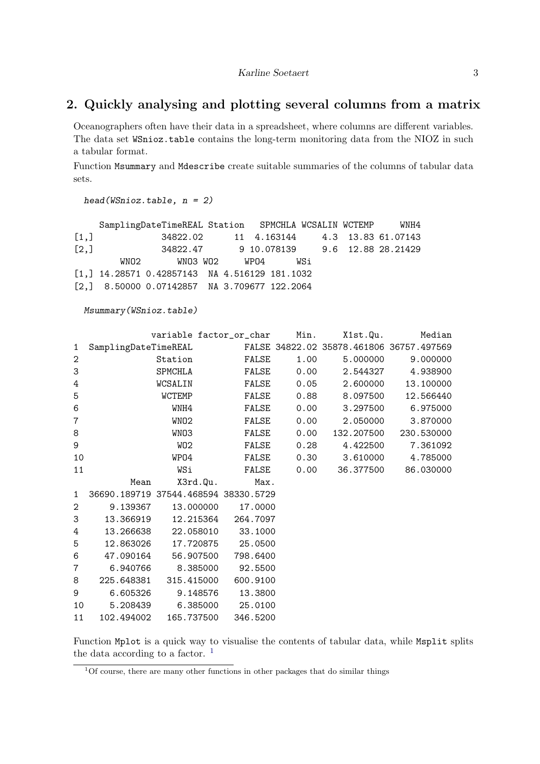# 2. Quickly analysing and plotting several columns from a matrix

Oceanographers often have their data in a spreadsheet, where columns are different variables. The data set WSnioz.table contains the long-term monitoring data from the NIOZ in such a tabular format.

Function Msummary and Mdescribe create suitable summaries of the columns of tabular data sets.

*head(WSnioz.table, n = 2)*

|      |      | SamplingDateTimeREAL Station SPMCHLA WCSALIN WCTEMP WNH4 |  |                                  |  |                                         |
|------|------|----------------------------------------------------------|--|----------------------------------|--|-----------------------------------------|
| [1,] |      |                                                          |  |                                  |  | 34822.02 11 4.163144 4.3 13.83 61.07143 |
| [2,] |      | 34822.47    9 10.078139   9.6 12.88 28.21429             |  |                                  |  |                                         |
|      | WNO2 |                                                          |  | WNO3 WO2       WPO4          WSi |  |                                         |
|      |      | $[1,]$ 14.28571 0.42857143 NA 4.516129 181.1032          |  |                                  |  |                                         |
|      |      | $[2,]$ 8.50000 0.07142857 NA 3.709677 122.2064           |  |                                  |  |                                         |

*Msummary(WSnioz.table)*

|                  |                      | variable factor_or_char              |          | Min. | X1st.Qu.                                 | Median     |
|------------------|----------------------|--------------------------------------|----------|------|------------------------------------------|------------|
| 1                | SamplingDateTimeREAL |                                      |          |      | FALSE 34822.02 35878.461806 36757.497569 |            |
| $\overline{2}$   |                      | Station                              | FALSE    | 1.00 | 5.000000                                 | 9.000000   |
| 3                |                      | SPMCHLA                              | FALSE    | 0.00 | 2.544327                                 | 4.938900   |
| $\,4\,$          |                      | WCSALIN                              | FALSE    | 0.05 | 2.600000                                 | 13.100000  |
| 5                |                      | <b>WCTEMP</b>                        | FALSE    | 0.88 | 8.097500                                 | 12.566440  |
| 6                |                      | WNH4                                 | FALSE    | 0.00 | 3.297500                                 | 6.975000   |
| $\overline{7}$   |                      | WNO <sub>2</sub>                     | FALSE    | 0.00 | 2.050000                                 | 3.870000   |
| 8                |                      | WN03                                 | FALSE    | 0.00 | 132.207500                               | 230.530000 |
| $\boldsymbol{9}$ |                      | WO <sub>2</sub>                      | FALSE    | 0.28 | 4.422500                                 | 7.361092   |
| 10               |                      | WP04                                 | FALSE    | 0.30 | 3.610000                                 | 4.785000   |
| 11               |                      | WSi                                  | FALSE    | 0.00 | 36.377500                                | 86.030000  |
|                  | Mean                 | X3rd.Qu.                             | Max.     |      |                                          |            |
| $\mathbf{1}$     |                      | 36690.189719 37544.468594 38330.5729 |          |      |                                          |            |
| $\overline{2}$   | 9.139367             | 13.000000                            | 17.0000  |      |                                          |            |
| 3                | 13.366919            | 12.215364                            | 264.7097 |      |                                          |            |
| 4                | 13.266638            | 22.058010                            | 33.1000  |      |                                          |            |
| 5                | 12.863026            | 17.720875                            | 25.0500  |      |                                          |            |
| 6                | 47.090164            | 56.907500                            | 798.6400 |      |                                          |            |
| 7                | 6.940766             | 8.385000                             | 92.5500  |      |                                          |            |
| 8                | 225.648381           | 315.415000                           | 600.9100 |      |                                          |            |
| 9                | 6.605326             | 9.148576                             | 13.3800  |      |                                          |            |
| 10               | 5.208439             | 6.385000                             | 25.0100  |      |                                          |            |
| 11               | 102.494002           | 165.737500                           | 346.5200 |      |                                          |            |

Function Mplot is a quick way to visualise the contents of tabular data, while Msplit splits the data according to a factor.  $<sup>1</sup>$  $<sup>1</sup>$  $<sup>1</sup>$ </sup>

<span id="page-2-0"></span><sup>&</sup>lt;sup>1</sup>Of course, there are many other functions in other packages that do similar things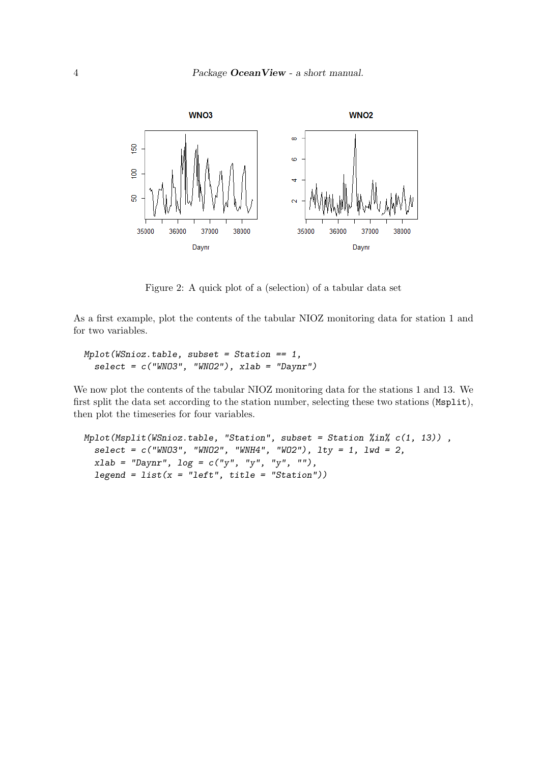

Figure 2: A quick plot of a (selection) of a tabular data set

As a first example, plot the contents of the tabular NIOZ monitoring data for station 1 and for two variables.

```
Mplot(WSnioz.table, subset = Station == 1,
  select = c("WNO3", "WNO2"), xlab = "Daynr")
```
We now plot the contents of the tabular NIOZ monitoring data for the stations 1 and 13. We first split the data set according to the station number, selecting these two stations (Msplit), then plot the timeseries for four variables.

```
Mplot(Msplit(WSnioz.table, "Station", subset = Station %in% c(1, 13)) ,
 select = c("WNO3", "WNO2", "WNH4", "WO2"), lty = 1, lwd = 2,
 xlab = "Daynr", log = c("y", "y", "y", ""),
 legend = list(x = "left", title = "Station"))
```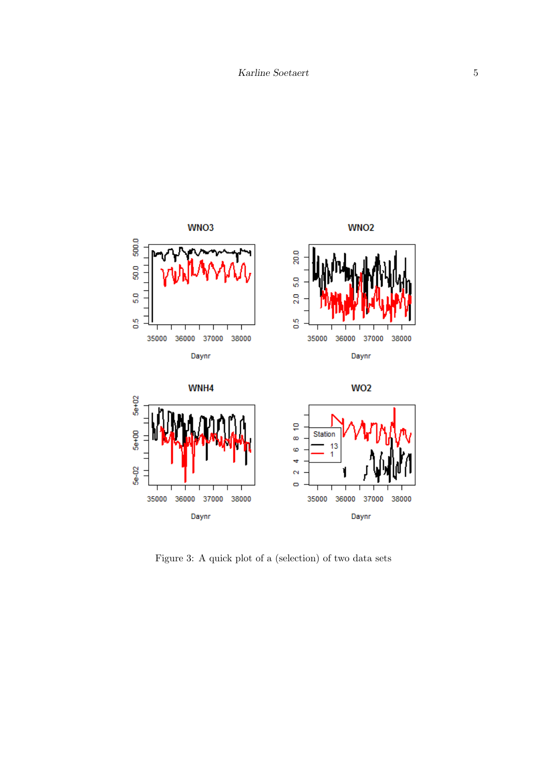

Figure 3: A quick plot of a (selection) of two data sets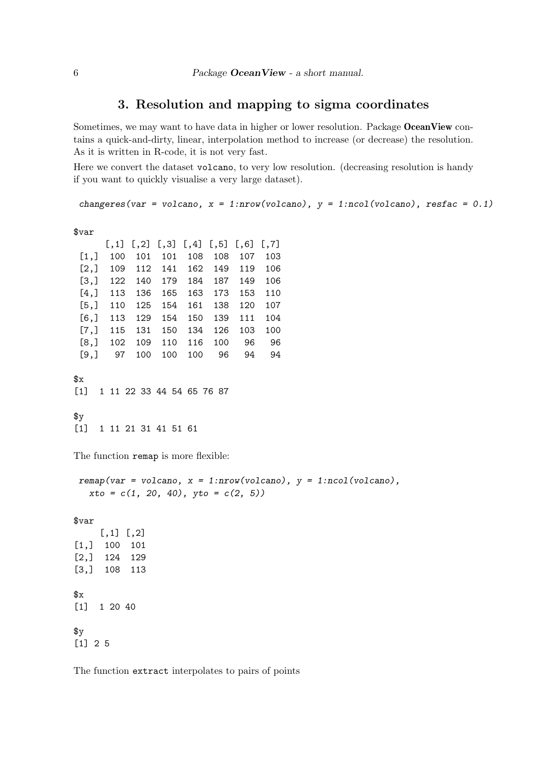# 3. Resolution and mapping to sigma coordinates

Sometimes, we may want to have data in higher or lower resolution. Package OceanView contains a quick-and-dirty, linear, interpolation method to increase (or decrease) the resolution. As it is written in R-code, it is not very fast.

Here we convert the dataset volcano, to very low resolution. (decreasing resolution is handy if you want to quickly visualise a very large dataset).

```
changeres(var = volcano, x = 1:nrow(volcano), y = 1:ncol(volcano), resfac = 0.1)
```
\$var

|      |     |     |     | $[,1]$ $[,2]$ $[,3]$ $[,4]$ $[,5]$ |     | [0,6] | $\left[ 7, 7 \right]$ |
|------|-----|-----|-----|------------------------------------|-----|-------|-----------------------|
| [1,] | 100 | 101 | 101 | 108                                | 108 | 107   | 103                   |
| [2,] | 109 | 112 | 141 | 162                                | 149 | 119   | 106                   |
| [3,] | 122 | 140 | 179 | 184                                | 187 | 149   | 106                   |
| [4,] | 113 | 136 | 165 | 163                                | 173 | 153   | 110                   |
| [5,] | 110 | 125 | 154 | 161                                | 138 | 120   | 107                   |
| [6,] | 113 | 129 | 154 | 150                                | 139 | 111   | 104                   |
| [7,] | 115 | 131 | 150 | 134                                | 126 | 103   | 100                   |
| [8,] | 102 | 109 | 110 | 116                                | 100 | 96    | 96                    |
| [9,] | 97  | 100 | 100 | 100                                | 96  | 94    | 94                    |

\$x

[1] 1 11 22 33 44 54 65 76 87

 $\frac{4}{3}$ [1] 1 11 21 31 41 51 61

The function remap is more flexible:

```
remap(var = volcano, x = 1:nrow(volcano), y = 1:ncol(volcano),
  xto = c(1, 20, 40), yto = c(2, 5))
```
\$var

 $[,1]$   $[,2]$ [1,] 100 101 [2,] 124 129 [3,] 108 113  $x<sub>g</sub>$ [1] 1 20 40  $\frac{4}{3}$ [1] 2 5

The function extract interpolates to pairs of points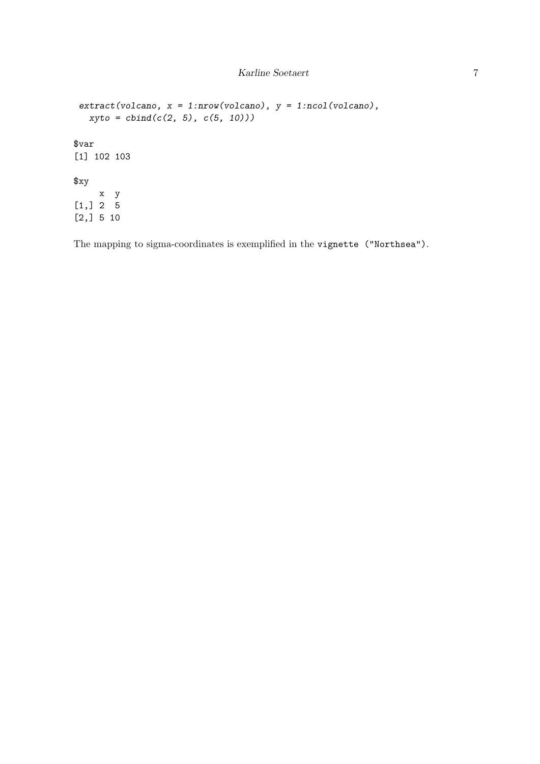```
extract(volcano, x = 1:nrow(volcano), y = 1:ncol(volcano),
  xyto = cbind(c(2, 5), c(5, 10)))
$var
[1] 102 103
$xy
    x y
[1,] 2 5
[2,] 5 10
```
The mapping to sigma-coordinates is exemplified in the vignette ("Northsea").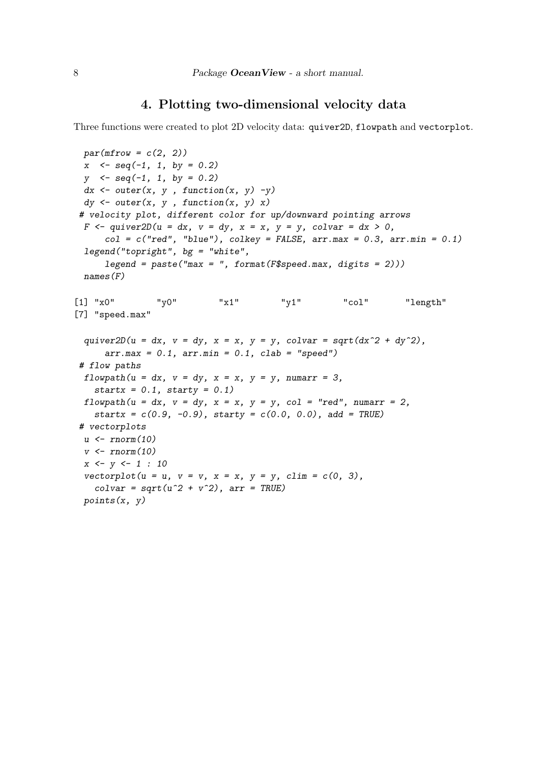## 4. Plotting two-dimensional velocity data

Three functions were created to plot 2D velocity data: quiver2D, flowpath and vectorplot.

```
par(mfrow = c(2, 2))
 x <- seq(-1, 1, by = 0.2)
 y <- seq(-1, 1, by = 0.2)
 dx <- outer(x, y , function(x, y) -y)
 dy <- outer(x, y , function(x, y) x)
 # velocity plot, different color for up/downward pointing arrows
 F <- quiver2D(u = dx, v = dy, x = x, y = y, colvar = dx > 0,
     col = c("red", "blue"), colkey = FALSE, arr.max = 0.3, arr.min = 0.1)
 legend("topright", bg = "white",
     legend = paste("max = ", format(F$speed.max, digits = 2)))
 names(F)
[1] "x0" "y0" "x1" "y1" "col" "length"
[7] "speed.max"
 quiver2D(u = dx, v = dy, x = x, y = y, colvar = sqrt(dx^2 + dy^2),
     arr.max = 0.1, arr.min = 0.1, clab = "speed")
 # flow paths
 flowpath(u = dx, v = dy, x = x, y = y, numarr = 3,startx = 0.1, starty = 0.1)
 flowpath(u = dx, v = dy, x = x, y = y, col = "red", numarr = 2,startx = c(0.9, -0.9), starty = c(0.0, 0.0), add = TRUE)
 # vectorplots
 u <- rnorm(10)
 v <- rnorm(10)
 x <- y <- 1 : 10
 vectorplot(u = u, v = v, x = x, y = y, \text{ } \text{ } c \text{ } \text{ } m = c(0, 3),colvar = sqrt(u^2 + v^2), arr = TRUE)
 points(x, y)
```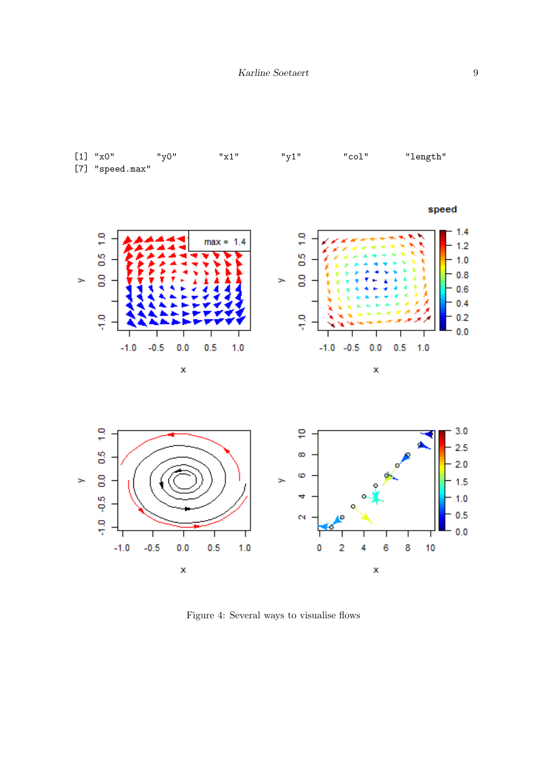

Figure 4: Several ways to visualise flows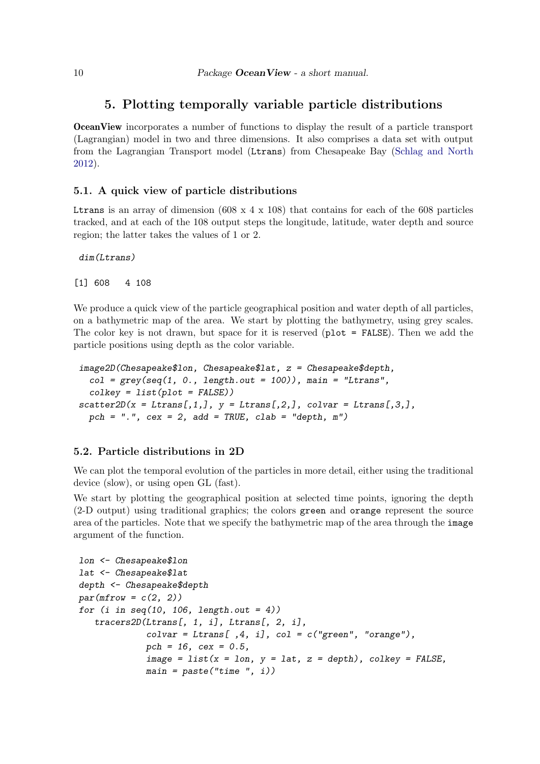## 5. Plotting temporally variable particle distributions

OceanView incorporates a number of functions to display the result of a particle transport (Lagrangian) model in two and three dimensions. It also comprises a data set with output from the Lagrangian Transport model (Ltrans) from Chesapeake Bay [\(Schlag and North](#page-14-5) [2012\)](#page-14-5).

#### 5.1. A quick view of particle distributions

Let Let a array of dimension  $(608 \times 4 \times 108)$  that contains for each of the 608 particles tracked, and at each of the 108 output steps the longitude, latitude, water depth and source region; the latter takes the values of 1 or 2.

```
dim(Ltrans)
```
[1] 608 4 108

We produce a quick view of the particle geographical position and water depth of all particles, on a bathymetric map of the area. We start by plotting the bathymetry, using grey scales. The color key is not drawn, but space for it is reserved ( $plot = FALSE$ ). Then we add the particle positions using depth as the color variable.

```
image2D(Chesapeake$lon, Chesapeake$lat, z = Chesapeake$depth,
  col = grey(seq(1, 0., length.out = 100)), main = "Ltrans",
  colkey = list(plot = FALSE))
scatter2D(x = Ltrans[, 1,], y = Ltrans[, 2,], colvar = Ltrans[, 3,],pch = ".", cex = 2, add = TRUE, clab = "depth, m")
```
### 5.2. Particle distributions in 2D

We can plot the temporal evolution of the particles in more detail, either using the traditional device (slow), or using open GL (fast).

We start by plotting the geographical position at selected time points, ignoring the depth (2-D output) using traditional graphics; the colors green and orange represent the source area of the particles. Note that we specify the bathymetric map of the area through the image argument of the function.

```
lon <- Chesapeake$lon
lat <- Chesapeake$lat
depth <- Chesapeake$depth
par(mfrow = c(2, 2))
for (i in seq(10, 106, length.out = 4))
   tracers2D(Ltrans[, 1, i], Ltrans[, 2, i],
             colvar = Ltrans[ ,4, i], col = c("green", "orange"),
             pch = 16, cex = 0.5,
             image = list(x = lon, y = lat, z = depth), colkey = FALSE,
             main = paste("time ", i))
```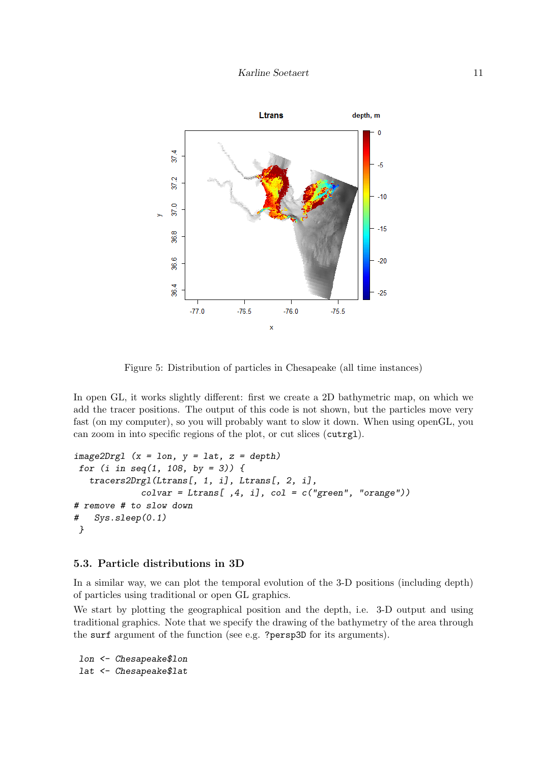

Figure 5: Distribution of particles in Chesapeake (all time instances)

In open GL, it works slightly different: first we create a 2D bathymetric map, on which we add the tracer positions. The output of this code is not shown, but the particles move very fast (on my computer), so you will probably want to slow it down. When using openGL, you can zoom in into specific regions of the plot, or cut slices (cutrgl).

```
image2Drgl (x = lon, y = lat, z = depth)
for (i in seq(1, 108, by = 3)) {
   tracers2Drgl(Ltrans[, 1, i], Ltrans[, 2, i],
             colvar = Ltrans[ ,4, i], col = c("green", "orange"))
# remove # to slow down
# Sys.sleep(0.1)
}
```
#### 5.3. Particle distributions in 3D

In a similar way, we can plot the temporal evolution of the 3-D positions (including depth) of particles using traditional or open GL graphics.

We start by plotting the geographical position and the depth, i.e. 3-D output and using traditional graphics. Note that we specify the drawing of the bathymetry of the area through the surf argument of the function (see e.g. ?persp3D for its arguments).

*lon <- Chesapeake\$lon lat <- Chesapeake\$lat*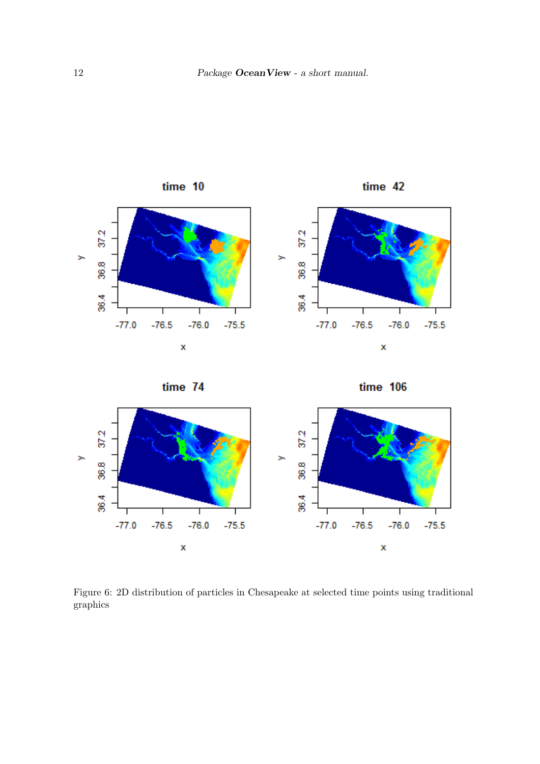

$$
time 74
$$





Figure 6: 2D distribution of particles in Chesapeake at selected time points using traditional graphics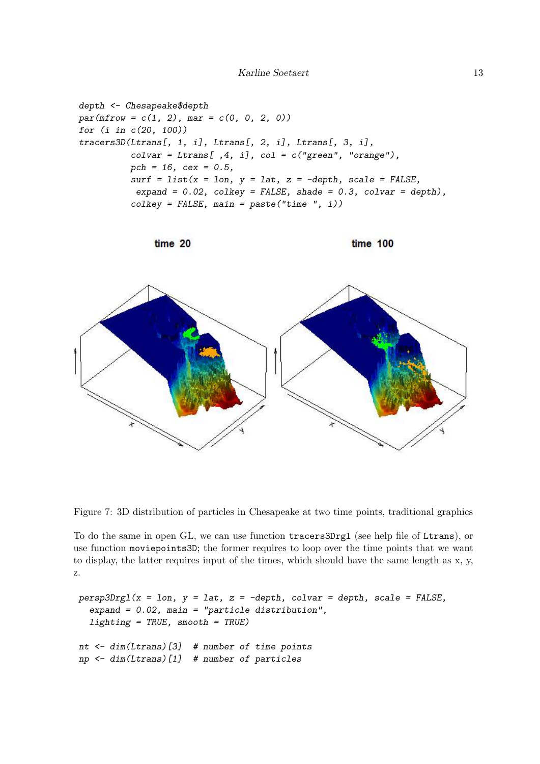```
depth <- Chesapeake$depth
par(mfrow = c(1, 2), mar = c(0, 0, 2, 0))
for (i in c(20, 100))
tracers3D(Ltrans[, 1, i], Ltrans[, 2, i], Ltrans[, 3, i],
          colvar = Ltrans[ ,4, i], col = c("green", "orange"),
          pch = 16, cex = 0.5,
          surf = list(x = lon, y = lat, z = -depth, scale = FALSE,
           expand = 0.02, colkey = FALSE, shade = 0.3, colvar = depth),
          colkey = FALSE, main = paste("time ", i))
```






Figure 7: 3D distribution of particles in Chesapeake at two time points, traditional graphics

To do the same in open GL, we can use function tracers3Drgl (see help file of Ltrans), or use function moviepoints3D; the former requires to loop over the time points that we want to display, the latter requires input of the times, which should have the same length as x, y, z.

```
persp3Drgl(x = lon, y = lat, z = -depth, colvar = depth, scale = FALSE,
  expand = 0.02, main = "particle distribution",
  lighting = TRUE, smooth = TRUE)
nt <- dim(Ltrans)[3] # number of time points
np <- dim(Ltrans)[1] # number of particles
```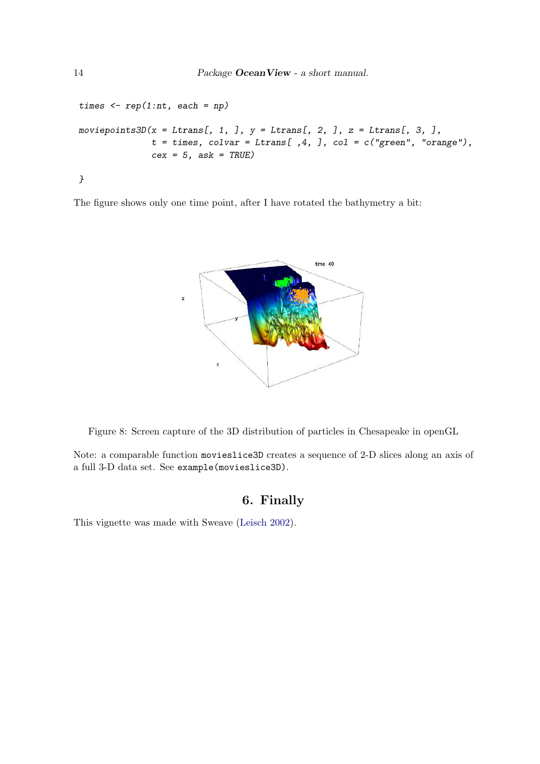```
times <- rep(1:nt, each = np)
moviepoints3D(x = Ltrans[, 1, ], y = Ltrans[, 2, ], z = Ltrans[, 3, ],
              t = times, colvar = Ltrans[ ,4, ], col = c("green", "orange"),
              cex = 5, ask = TRUE)
}
```
The figure shows only one time point, after I have rotated the bathymetry a bit:



Figure 8: Screen capture of the 3D distribution of particles in Chesapeake in openGL

Note: a comparable function movieslice3D creates a sequence of 2-D slices along an axis of a full 3-D data set. See example(movieslice3D).

# 6. Finally

This vignette was made with Sweave [\(Leisch 2002\)](#page-14-6).